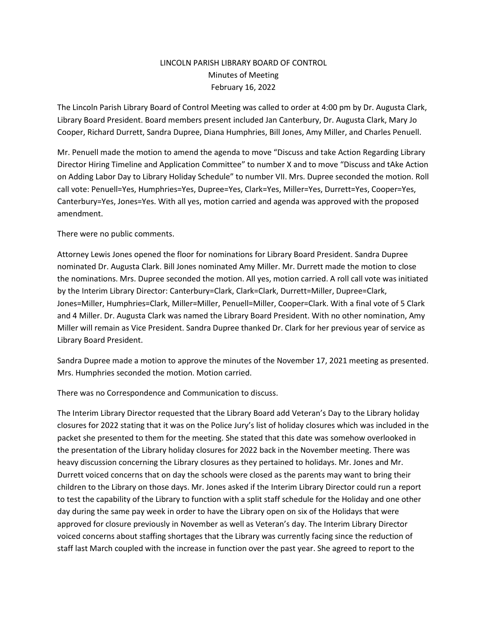## LINCOLN PARISH LIBRARY BOARD OF CONTROL Minutes of Meeting February 16, 2022

The Lincoln Parish Library Board of Control Meeting was called to order at 4:00 pm by Dr. Augusta Clark, Library Board President. Board members present included Jan Canterbury, Dr. Augusta Clark, Mary Jo Cooper, Richard Durrett, Sandra Dupree, Diana Humphries, Bill Jones, Amy Miller, and Charles Penuell.

Mr. Penuell made the motion to amend the agenda to move "Discuss and take Action Regarding Library Director Hiring Timeline and Application Committee" to number X and to move "Discuss and tAke Action on Adding Labor Day to Library Holiday Schedule" to number VII. Mrs. Dupree seconded the motion. Roll call vote: Penuell=Yes, Humphries=Yes, Dupree=Yes, Clark=Yes, Miller=Yes, Durrett=Yes, Cooper=Yes, Canterbury=Yes, Jones=Yes. With all yes, motion carried and agenda was approved with the proposed amendment.

There were no public comments.

Attorney Lewis Jones opened the floor for nominations for Library Board President. Sandra Dupree nominated Dr. Augusta Clark. Bill Jones nominated Amy Miller. Mr. Durrett made the motion to close the nominations. Mrs. Dupree seconded the motion. All yes, motion carried. A roll call vote was initiated by the Interim Library Director: Canterbury=Clark, Clark=Clark, Durrett=Miller, Dupree=Clark, Jones=Miller, Humphries=Clark, Miller=Miller, Penuell=Miller, Cooper=Clark. With a final vote of 5 Clark and 4 Miller. Dr. Augusta Clark was named the Library Board President. With no other nomination, Amy Miller will remain as Vice President. Sandra Dupree thanked Dr. Clark for her previous year of service as Library Board President.

Sandra Dupree made a motion to approve the minutes of the November 17, 2021 meeting as presented. Mrs. Humphries seconded the motion. Motion carried.

There was no Correspondence and Communication to discuss.

The Interim Library Director requested that the Library Board add Veteran's Day to the Library holiday closures for 2022 stating that it was on the Police Jury's list of holiday closures which was included in the packet she presented to them for the meeting. She stated that this date was somehow overlooked in the presentation of the Library holiday closures for 2022 back in the November meeting. There was heavy discussion concerning the Library closures as they pertained to holidays. Mr. Jones and Mr. Durrett voiced concerns that on day the schools were closed as the parents may want to bring their children to the Library on those days. Mr. Jones asked if the Interim Library Director could run a report to test the capability of the Library to function with a split staff schedule for the Holiday and one other day during the same pay week in order to have the Library open on six of the Holidays that were approved for closure previously in November as well as Veteran's day. The Interim Library Director voiced concerns about staffing shortages that the Library was currently facing since the reduction of staff last March coupled with the increase in function over the past year. She agreed to report to the